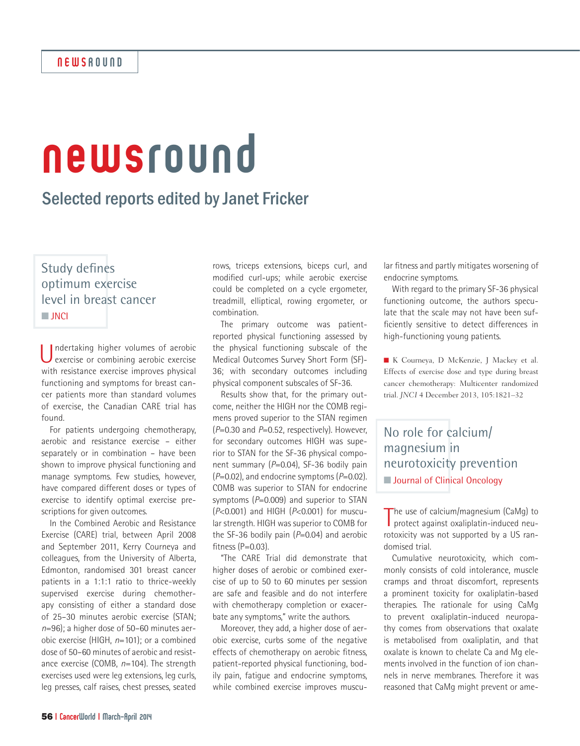# newsround

# Selected reports edited by Janet Fricker

Study defines optimum exercise level in breast cancer **n** JNCI

Undertaking higher volumes of aerobic exercise or combining aerobic exercise with resistance exercise improves physical functioning and symptoms for breast cancer patients more than standard volumes of exercise, the Canadian CARE trial has found.

For patients undergoing chemotherapy, aerobic and resistance exercise – either separately or in combination – have been shown to improve physical functioning and manage symptoms. Few studies, however, have compared different doses or types of exercise to identify optimal exercise prescriptions for given outcomes.

In the Combined Aerobic and Resistance Exercise (CARE) trial, between April 2008 and September 2011, Kerry Courneya and colleagues, from the University of Alberta, Edmonton, randomised 301 breast cancer patients in a 1:1:1 ratio to thrice-weekly supervised exercise during chemotherapy consisting of either a standard dose of 25–30 minutes aerobic exercise (STAN; *n*=96); a higher dose of 50–60 minutes aerobic exercise (HIGH, *n*=101); or a combined dose of 50–60 minutes of aerobic and resistance exercise (COMB, *n*=104). The strength exercises used were leg extensions, leg curls, leg presses, calf raises, chest presses, seated

rows, triceps extensions, biceps curl, and modified curl-ups; while aerobic exercise could be completed on a cycle ergometer, treadmill, elliptical, rowing ergometer, or combination.

The primary outcome was patientreported physical functioning assessed by the physical functioning subscale of the Medical Outcomes Survey Short Form (SF)- 36; with secondary outcomes including physical component subscales of SF-36.

Results show that, for the primary outcome, neither the HIGH nor the COMB regimens proved superior to the STAN regimen (*P*=0.30 and *P*=0.52, respectively). However, for secondary outcomes HIGH was superior to STAN for the SF-36 physical component summary (*P*=0.04), SF-36 bodily pain (*P*=0.02), and endocrine symptoms (*P*=0.02). COMB was superior to STAN for endocrine symptoms (P=0.009) and superior to STAN (*P*<0.001) and HIGH (*P*<0.001) for muscular strength. HIGH was superior to COMB for the SF-36 bodily pain (*P*=0.04) and aerobic fitness  $(P=0.03)$ .

"The CARE Trial did demonstrate that higher doses of aerobic or combined exercise of up to 50 to 60 minutes per session are safe and feasible and do not interfere with chemotherapy completion or exacerbate any symptoms," write the authors.

Moreover, they add, a higher dose of aerobic exercise, curbs some of the negative effects of chemotherapy on aerobic fitness, patient-reported physical functioning, bodily pain, fatigue and endocrine symptoms, while combined exercise improves muscu-

lar fitness and partly mitigates worsening of endocrine symptoms.

With regard to the primary SF-36 physical functioning outcome, the authors speculate that the scale may not have been sufficiently sensitive to detect differences in high-functioning young patients.

n K Courneya, D McKenzie, J Mackey et al. Effects of exercise dose and type during breast cancer chemotherapy: Multicenter randomized trial. *JNCI* 4 December 2013, 105:1821–32

No role for calcium/ magnesium in neurotoxicity prevention **Nournal of Clinical Oncology** 

The use of calcium/magnesium (CaMg) to<br>protect against oxaliplatin-induced neuprotect against oxaliplatin-induced neurotoxicity was not supported by a US randomised trial.

Cumulative neurotoxicity, which commonly consists of cold intolerance, muscle cramps and throat discomfort, represents a prominent toxicity for oxaliplatin-based therapies. The rationale for using CaMg to prevent oxaliplatin-induced neuropathy comes from observations that oxalate is metabolised from oxaliplatin, and that oxalate is known to chelate Ca and Mg elements involved in the function of ion channels in nerve membranes. Therefore it was reasoned that CaMg might prevent or ame-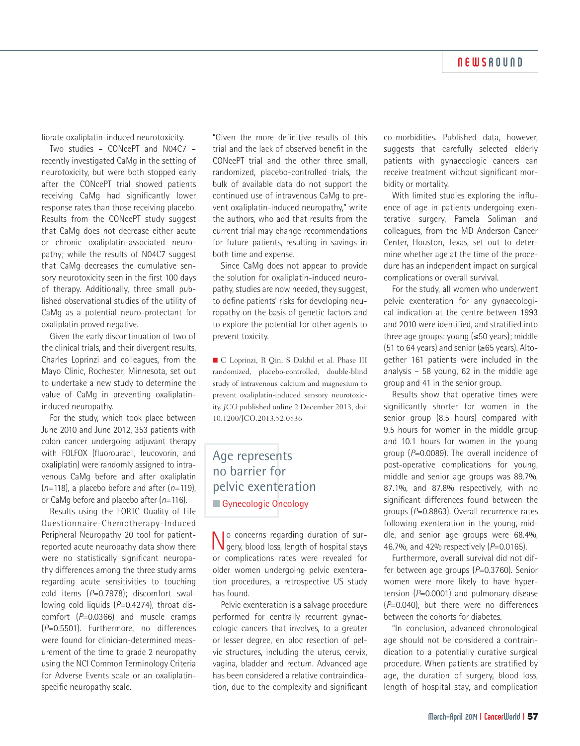#### **NEWSROUND**

liorate oxaliplatin-induced neurotoxicity.

Two studies – CONcePT and N04C7 – recently investigated CaMg in the setting of neurotoxicity, but were both stopped early after the CONcePT trial showed patients receiving CaMg had significantly lower response rates than those receiving placebo. Results from the CONcePT study suggest that CaMg does not decrease either acute or chronic oxaliplatin-associated neuropathy; while the results of N04C7 suggest that CaMg decreases the cumulative sensory neurotoxicity seen in the first 100 days of therapy. Additionally, three small published observational studies of the utility of CaMg as a potential neuro-protectant for oxaliplatin proved negative.

Given the early discontinuation of two of the clinical trials, and their divergent results, Charles Loprinzi and colleagues, from the Mayo Clinic, Rochester, Minnesota, set out to undertake a new study to determine the value of CaMg in preventing oxaliplatininduced neuropathy.

For the study, which took place between June 2010 and June 2012, 353 patients with colon cancer undergoing adjuvant therapy with FOLFOX (fluorouracil, leucovorin, and oxaliplatin) were randomly assigned to intravenous CaMg before and after oxaliplatin (*n*=118), a placebo before and after (*n*=119), or CaMg before and placebo after (*n*=116).

Results using the EORTC Quality of Life Questionnaire-Chemotherapy-Induced Peripheral Neuropathy 20 tool for patientreported acute neuropathy data show there were no statistically significant neuropathy differences among the three study arms regarding acute sensitivities to touching cold items (*P*=0.7978); discomfort swallowing cold liquids (P=0.4274), throat discomfort (*P*=0.0366) and muscle cramps (*P*=0.5501). Furthermore, no differences were found for clinician-determined measurement of the time to grade 2 neuropathy using the NCI Common Terminology Criteria for Adverse Events scale or an oxaliplatinspecific neuropathy scale.

"Given the more definitive results of this trial and the lack of observed benefit in the CONcePT trial and the other three small, randomized, placebo-controlled trials, the bulk of available data do not support the continued use of intravenous CaMg to prevent oxaliplatin-induced neuropathy," write the authors, who add that results from the current trial may change recommendations for future patients, resulting in savings in both time and expense.

Since CaMg does not appear to provide the solution for oxaliplatin-induced neuropathy, studies are now needed, they suggest, to define patients' risks for developing neuropathy on the basis of genetic factors and to explore the potential for other agents to prevent toxicity.

n C Loprinzi, R Qin, S Dakhil et al. Phase III randomized, placebo-controlled, double-blind study of intravenous calcium and magnesium to prevent oxaliplatin-induced sensory neurotoxicity. *JCO* published online 2 December 2013, doi: 10.1200/JCO.2013.52.0536

#### Age represents no barrier for pelvic exenteration **n** Gynecologic Oncology

No concerns regarding duration of sur-gery, blood loss, length of hospital stays or complications rates were revealed for older women undergoing pelvic exenteration procedures, a retrospective US study has found.

Pelvic exenteration is a salvage procedure performed for centrally recurrent gynaecologic cancers that involves, to a greater or lesser degree, en bloc resection of pelvic structures, including the uterus, cervix, vagina, bladder and rectum. Advanced age has been considered a relative contraindication, due to the complexity and significant co-morbidities. Published data, however, suggests that carefully selected elderly patients with gynaecologic cancers can receive treatment without significant morbidity or mortality.

With limited studies exploring the influence of age in patients undergoing exenterative surgery, Pamela Soliman and colleagues, from the MD Anderson Cancer Center, Houston, Texas, set out to determine whether age at the time of the procedure has an independent impact on surgical complications or overall survival.

For the study, all women who underwent pelvic exenteration for any gynaecological indication at the centre between 1993 and 2010 were identified, and stratified into three age groups: young (≤50 years); middle (51 to 64 years) and senior (≥65 years). Altogether 161 patients were included in the analysis – 58 young, 62 in the middle age group and 41 in the senior group.

Results show that operative times were significantly shorter for women in the senior group (8.5 hours) compared with 9.5 hours for women in the middle group and 10.1 hours for women in the young group (*P*=0.0089). The overall incidence of post-operative complications for young, middle and senior age groups was 89.7%, 87.1%, and 87.8% respectively, with no significant differences found between the groups (*P*=0.8863). Overall recurrence rates following exenteration in the young, middle, and senior age groups were 68.4%, 46.7%, and 42% respectively (*P*=0.0165).

Furthermore, overall survival did not differ between age groups (*P*=0.3760). Senior women were more likely to have hypertension (*P*=0.0001) and pulmonary disease (*P*=0.040), but there were no differences between the cohorts for diabetes.

"In conclusion, advanced chronological age should not be considered a contraindication to a potentially curative surgical procedure. When patients are stratified by age, the duration of surgery, blood loss, length of hospital stay, and complication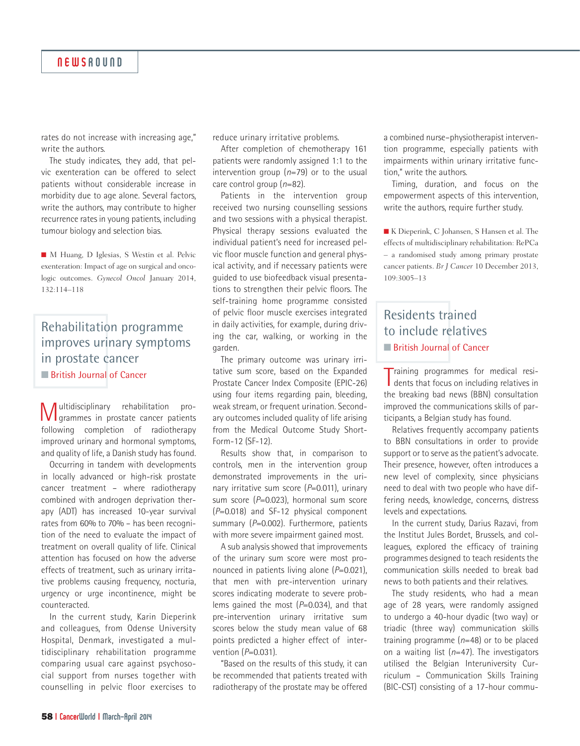rates do not increase with increasing age," write the authors.

The study indicates, they add, that pelvic exenteration can be offered to select patients without considerable increase in morbidity due to age alone. Several factors, write the authors, may contribute to higher recurrence rates in young patients, including tumour biology and selection bias.

n M Huang, D Iglesias, S Westin et al. Pelvic exenteration: Impact of age on surgical and oncologic outcomes. *Gynecol Oncol* January 2014, 132:114–118

### Rehabilitation programme improves urinary symptoms in prostate cancer **n** British Journal of Cancer

Multidisciplinary rehabilitation pro-grammes in prostate cancer patients following completion of radiotherapy improved urinary and hormonal symptoms, and quality of life, a Danish study has found.

Occurring in tandem with developments in locally advanced or high-risk prostate cancer treatment – where radiotherapy combined with androgen deprivation therapy (ADT) has increased 10-year survival rates from 60% to 70% – has been recognition of the need to evaluate the impact of treatment on overall quality of life. Clinical attention has focused on how the adverse effects of treatment, such as urinary irritative problems causing frequency, nocturia, urgency or urge incontinence, might be counteracted.

In the current study, Karin Dieperink and colleagues, from Odense University Hospital, Denmark, investigated a multidisciplinary rehabilitation programme comparing usual care against psychosocial support from nurses together with counselling in pelvic floor exercises to reduce urinary irritative problems.

After completion of chemotherapy 161 patients were randomly assigned 1:1 to the intervention group (*n*=79) or to the usual care control group (*n*=82).

Patients in the intervention group received two nursing counselling sessions and two sessions with a physical therapist. Physical therapy sessions evaluated the individual patient's need for increased pelvic floor muscle function and general physical activity, and if necessary patients were guided to use biofeedback visual presentations to strengthen their pelvic floors. The self-training home programme consisted of pelvic floor muscle exercises integrated in daily activities, for example, during driving the car, walking, or working in the garden.

The primary outcome was urinary irritative sum score, based on the Expanded Prostate Cancer Index Composite (EPIC-26) using four items regarding pain, bleeding, weak stream, or frequent urination. Secondary outcomes included quality of life arising from the Medical Outcome Study Short-Form-12 (SF-12).

Results show that, in comparison to controls, men in the intervention group demonstrated improvements in the urinary irritative sum score (*P*=0.011), urinary sum score (*P*=0.023), hormonal sum score (*P*=0.018) and SF-12 physical component summary (P=0.002). Furthermore, patients with more severe impairment gained most.

A sub analysis showed that improvements of the urinary sum score were most pronounced in patients living alone (*P*=0.021), that men with pre-intervention urinary scores indicating moderate to severe problems gained the most (*P*=0.034), and that pre-intervention urinary irritative sum scores below the study mean value of 68 points predicted a higher effect of intervention (*P*=0.031).

"Based on the results of this study, it can be recommended that patients treated with radiotherapy of the prostate may be offered

a combined nurse–physiotherapist intervention programme, especially patients with impairments within urinary irritative function," write the authors.

Timing, duration, and focus on the empowerment aspects of this intervention, write the authors, require further study.

■ K Dieperink, C Johansen, S Hansen et al. The effects of multidisciplinary rehabilitation: RePCa – a randomised study among primary prostate cancer patients. *Br J Cancer* 10 December 2013, 109:3005–13

# Residents trained to include relatives **n** British Journal of Cancer

Training programmes for medical residents that focus on including relatives in **Training programmes for medical resi**the breaking bad news (BBN) consultation improved the communications skills of participants, a Belgian study has found.

Relatives frequently accompany patients to BBN consultations in order to provide support or to serve as the patient's advocate. Their presence, however, often introduces a new level of complexity, since physicians need to deal with two people who have differing needs, knowledge, concerns, distress levels and expectations.

In the current study, Darius Razavi, from the Institut Jules Bordet, Brussels, and colleagues, explored the efficacy of training programmes designed to teach residents the communication skills needed to break bad news to both patients and their relatives.

The study residents, who had a mean age of 28 years, were randomly assigned to undergo a 40-hour dyadic (two way) or triadic (three way) communication skills training programme (*n*=48) or to be placed on a waiting list (*n*=47). The investigators utilised the Belgian Interuniversity Curriculum – Communication Skills Training (BIC-CST) consisting of a 17-hour commu